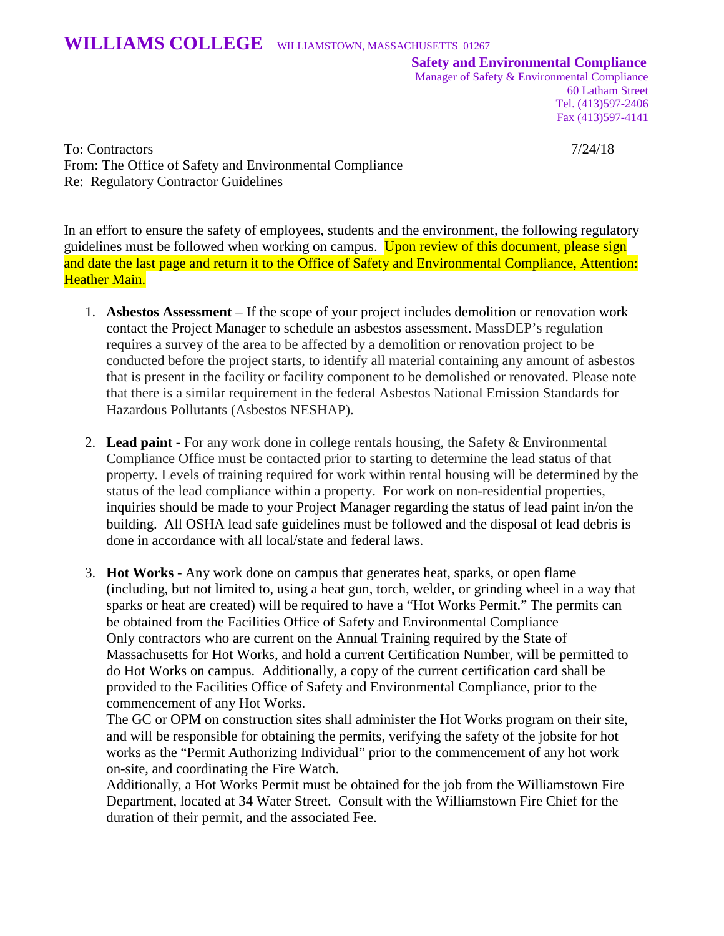**Safety and Environmental Compliance**

Manager of Safety & Environmental Compliance 60 Latham Street Tel. (413)597-2406 Fax (413)597-4141

To: Contractors 7/24/18 From: The Office of Safety and Environmental Compliance Re: Regulatory Contractor Guidelines

In an effort to ensure the safety of employees, students and the environment, the following regulatory guidelines must be followed when working on campus. Upon review of this document, please sign and date the last page and return it to the Office of Safety and Environmental Compliance, Attention: **Heather Main.** 

- 1. **Asbestos Assessment** If the scope of your project includes demolition or renovation work contact the Project Manager to schedule an asbestos assessment. MassDEP's regulation requires a survey of the area to be affected by a demolition or renovation project to be conducted before the project starts, to identify all material containing any amount of asbestos that is present in the facility or facility component to be demolished or renovated. Please note that there is a similar requirement in the federal Asbestos National Emission Standards for Hazardous Pollutants (Asbestos NESHAP).
- 2. **Lead paint** For any work done in college rentals housing, the Safety & Environmental Compliance Office must be contacted prior to starting to determine the lead status of that property. Levels of training required for work within rental housing will be determined by the status of the lead compliance within a property. For work on non-residential properties, inquiries should be made to your Project Manager regarding the status of lead paint in/on the building. All OSHA lead safe guidelines must be followed and the disposal of lead debris is done in accordance with all local/state and federal laws.
- 3. **Hot Works** Any work done on campus that generates heat, sparks, or open flame (including, but not limited to, using a heat gun, torch, welder, or grinding wheel in a way that sparks or heat are created) will be required to have a "Hot Works Permit." The permits can be obtained from the Facilities Office of Safety and Environmental Compliance Only contractors who are current on the Annual Training required by the State of Massachusetts for Hot Works, and hold a current Certification Number, will be permitted to do Hot Works on campus. Additionally, a copy of the current certification card shall be provided to the Facilities Office of Safety and Environmental Compliance, prior to the commencement of any Hot Works.

The GC or OPM on construction sites shall administer the Hot Works program on their site, and will be responsible for obtaining the permits, verifying the safety of the jobsite for hot works as the "Permit Authorizing Individual" prior to the commencement of any hot work on-site, and coordinating the Fire Watch.

Additionally, a Hot Works Permit must be obtained for the job from the Williamstown Fire Department, located at 34 Water Street. Consult with the Williamstown Fire Chief for the duration of their permit, and the associated Fee.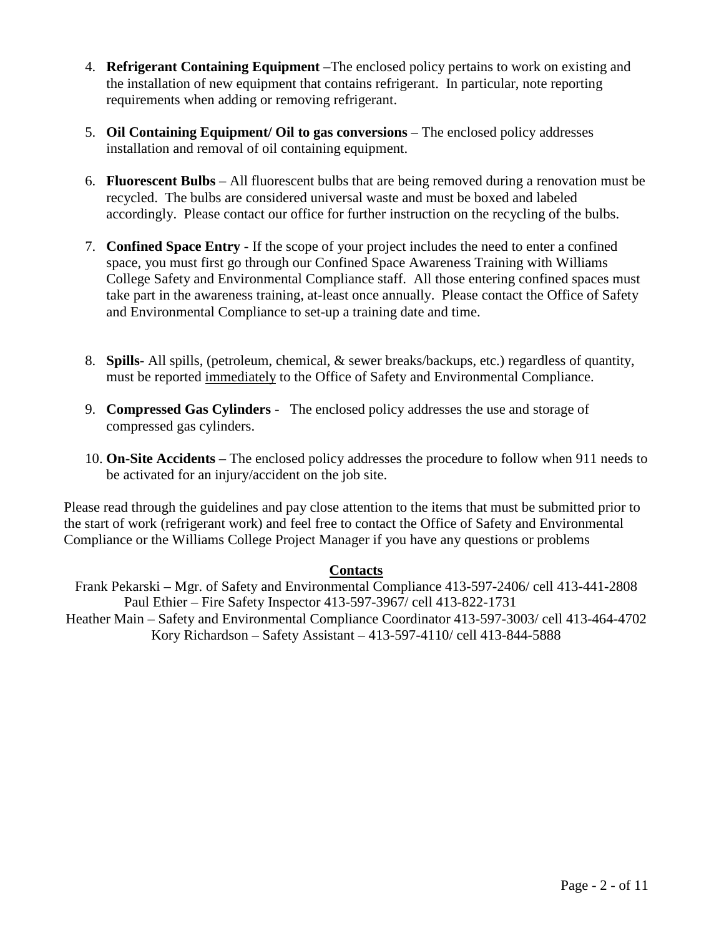- 4. **Refrigerant Containing Equipment** –The enclosed policy pertains to work on existing and the installation of new equipment that contains refrigerant. In particular, note reporting requirements when adding or removing refrigerant.
- 5. **Oil Containing Equipment/ Oil to gas conversions** The enclosed policy addresses installation and removal of oil containing equipment.
- 6. **Fluorescent Bulbs** All fluorescent bulbs that are being removed during a renovation must be recycled. The bulbs are considered universal waste and must be boxed and labeled accordingly. Please contact our office for further instruction on the recycling of the bulbs.
- 7. **Confined Space Entry** If the scope of your project includes the need to enter a confined space, you must first go through our Confined Space Awareness Training with Williams College Safety and Environmental Compliance staff. All those entering confined spaces must take part in the awareness training, at-least once annually. Please contact the Office of Safety and Environmental Compliance to set-up a training date and time.
- 8. **Spills** All spills, (petroleum, chemical, & sewer breaks/backups, etc.) regardless of quantity, must be reported immediately to the Office of Safety and Environmental Compliance.
- 9. **Compressed Gas Cylinders** The enclosed policy addresses the use and storage of compressed gas cylinders.
- 10. **On**-**Site Accidents** The enclosed policy addresses the procedure to follow when 911 needs to be activated for an injury/accident on the job site.

Please read through the guidelines and pay close attention to the items that must be submitted prior to the start of work (refrigerant work) and feel free to contact the Office of Safety and Environmental Compliance or the Williams College Project Manager if you have any questions or problems

## **Contacts**

Frank Pekarski – Mgr. of Safety and Environmental Compliance 413-597-2406/ cell 413-441-2808 Paul Ethier – Fire Safety Inspector 413-597-3967/ cell 413-822-1731 Heather Main – Safety and Environmental Compliance Coordinator 413-597-3003/ cell 413-464-4702 Kory Richardson – Safety Assistant – 413-597-4110/ cell 413-844-5888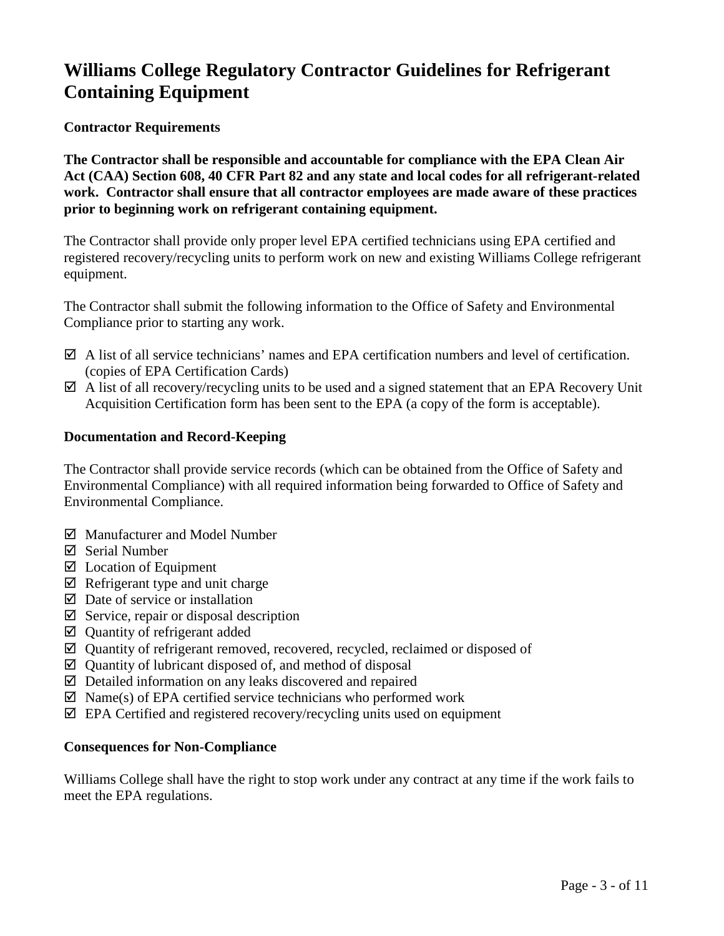# **Williams College Regulatory Contractor Guidelines for Refrigerant Containing Equipment**

### **Contractor Requirements**

**The Contractor shall be responsible and accountable for compliance with the EPA Clean Air Act (CAA) Section 608, 40 CFR Part 82 and any state and local codes for all refrigerant-related work. Contractor shall ensure that all contractor employees are made aware of these practices prior to beginning work on refrigerant containing equipment.**

The Contractor shall provide only proper level EPA certified technicians using EPA certified and registered recovery/recycling units to perform work on new and existing Williams College refrigerant equipment.

The Contractor shall submit the following information to the Office of Safety and Environmental Compliance prior to starting any work.

- $\boxtimes$  A list of all service technicians' names and EPA certification numbers and level of certification. (copies of EPA Certification Cards)
- A list of all recovery/recycling units to be used and a signed statement that an EPA Recovery Unit Acquisition Certification form has been sent to the EPA (a copy of the form is acceptable).

### **Documentation and Record-Keeping**

The Contractor shall provide service records (which can be obtained from the Office of Safety and Environmental Compliance) with all required information being forwarded to Office of Safety and Environmental Compliance.

- Manufacturer and Model Number
- $\boxtimes$  Serial Number
- $\boxtimes$  Location of Equipment
- $\boxtimes$  Refrigerant type and unit charge
- $\boxtimes$  Date of service or installation
- $\boxtimes$  Service, repair or disposal description
- $\boxtimes$  Quantity of refrigerant added
- $\boxtimes$  Quantity of refrigerant removed, recovered, recycled, reclaimed or disposed of
- $\boxtimes$  Quantity of lubricant disposed of, and method of disposal
- $\boxtimes$  Detailed information on any leaks discovered and repaired
- $\boxtimes$  Name(s) of EPA certified service technicians who performed work
- $\boxtimes$  EPA Certified and registered recovery/recycling units used on equipment

## **Consequences for Non-Compliance**

Williams College shall have the right to stop work under any contract at any time if the work fails to meet the EPA regulations.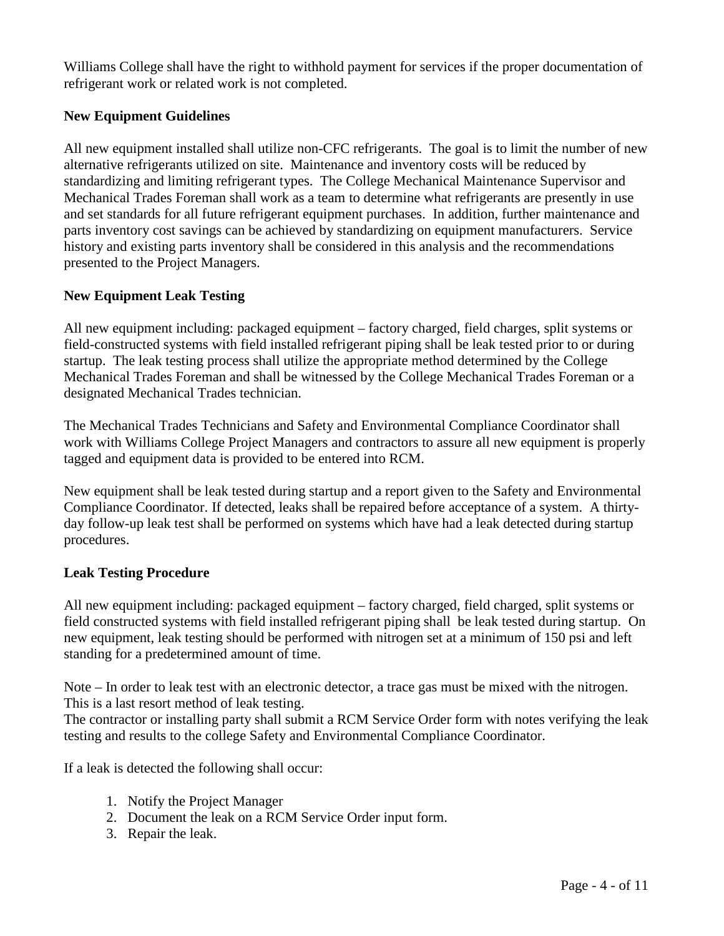Williams College shall have the right to withhold payment for services if the proper documentation of refrigerant work or related work is not completed.

### **New Equipment Guidelines**

All new equipment installed shall utilize non-CFC refrigerants. The goal is to limit the number of new alternative refrigerants utilized on site. Maintenance and inventory costs will be reduced by standardizing and limiting refrigerant types. The College Mechanical Maintenance Supervisor and Mechanical Trades Foreman shall work as a team to determine what refrigerants are presently in use and set standards for all future refrigerant equipment purchases. In addition, further maintenance and parts inventory cost savings can be achieved by standardizing on equipment manufacturers. Service history and existing parts inventory shall be considered in this analysis and the recommendations presented to the Project Managers.

## **New Equipment Leak Testing**

All new equipment including: packaged equipment – factory charged, field charges, split systems or field-constructed systems with field installed refrigerant piping shall be leak tested prior to or during startup. The leak testing process shall utilize the appropriate method determined by the College Mechanical Trades Foreman and shall be witnessed by the College Mechanical Trades Foreman or a designated Mechanical Trades technician.

The Mechanical Trades Technicians and Safety and Environmental Compliance Coordinator shall work with Williams College Project Managers and contractors to assure all new equipment is properly tagged and equipment data is provided to be entered into RCM.

New equipment shall be leak tested during startup and a report given to the Safety and Environmental Compliance Coordinator. If detected, leaks shall be repaired before acceptance of a system. A thirtyday follow-up leak test shall be performed on systems which have had a leak detected during startup procedures.

### **Leak Testing Procedure**

All new equipment including: packaged equipment – factory charged, field charged, split systems or field constructed systems with field installed refrigerant piping shall be leak tested during startup. On new equipment, leak testing should be performed with nitrogen set at a minimum of 150 psi and left standing for a predetermined amount of time.

Note – In order to leak test with an electronic detector, a trace gas must be mixed with the nitrogen. This is a last resort method of leak testing.

The contractor or installing party shall submit a RCM Service Order form with notes verifying the leak testing and results to the college Safety and Environmental Compliance Coordinator.

If a leak is detected the following shall occur:

- 1. Notify the Project Manager
- 2. Document the leak on a RCM Service Order input form.
- 3. Repair the leak.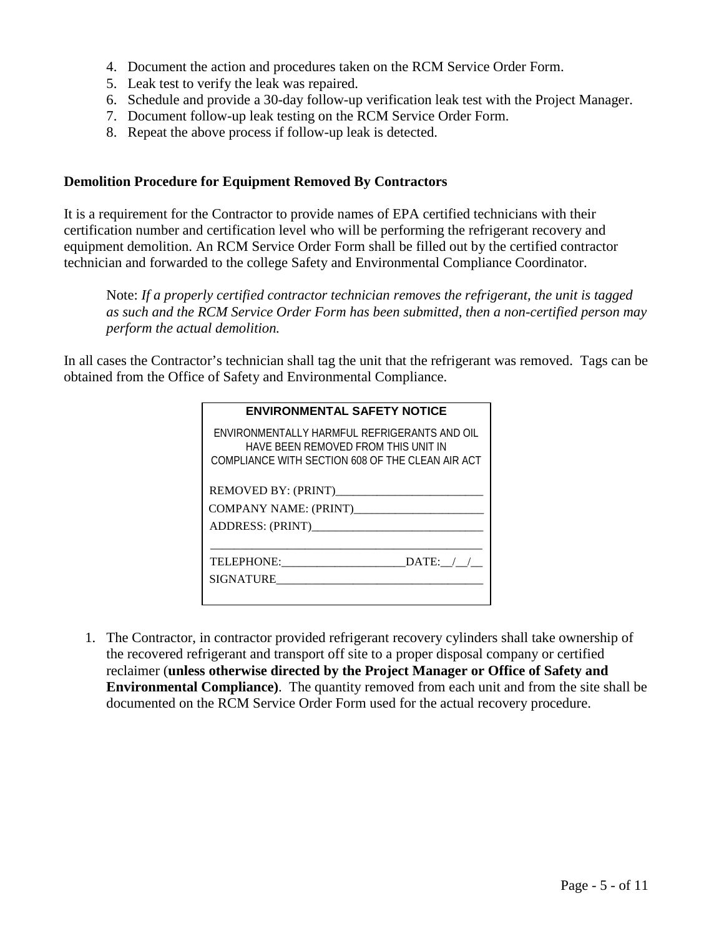- 4. Document the action and procedures taken on the RCM Service Order Form.
- 5. Leak test to verify the leak was repaired.
- 6. Schedule and provide a 30-day follow-up verification leak test with the Project Manager.
- 7. Document follow-up leak testing on the RCM Service Order Form.
- 8. Repeat the above process if follow-up leak is detected.

### **Demolition Procedure for Equipment Removed By Contractors**

It is a requirement for the Contractor to provide names of EPA certified technicians with their certification number and certification level who will be performing the refrigerant recovery and equipment demolition. An RCM Service Order Form shall be filled out by the certified contractor technician and forwarded to the college Safety and Environmental Compliance Coordinator.

Note: *If a properly certified contractor technician removes the refrigerant, the unit is tagged as such and the RCM Service Order Form has been submitted, then a non-certified person may perform the actual demolition.*

In all cases the Contractor's technician shall tag the unit that the refrigerant was removed. Tags can be obtained from the Office of Safety and Environmental Compliance.

| <b>ENVIRONMENTAL SAFETY NOTICE</b>                                                                                                      |  |  |
|-----------------------------------------------------------------------------------------------------------------------------------------|--|--|
| ENVIRONMENTALLY HARMFUL REFRIGERANTS AND OIL<br>HAVE BEEN REMOVED FROM THIS UNIT IN<br>COMPLIANCE WITH SECTION 608 OF THE CLEAN AIR ACT |  |  |
|                                                                                                                                         |  |  |
|                                                                                                                                         |  |  |
| ADDRESS: (PRINT)                                                                                                                        |  |  |
| DATA:<br>TELEPHONE:<br>SIGNATURE                                                                                                        |  |  |
|                                                                                                                                         |  |  |

1. The Contractor, in contractor provided refrigerant recovery cylinders shall take ownership of the recovered refrigerant and transport off site to a proper disposal company or certified reclaimer (**unless otherwise directed by the Project Manager or Office of Safety and Environmental Compliance)**. The quantity removed from each unit and from the site shall be documented on the RCM Service Order Form used for the actual recovery procedure.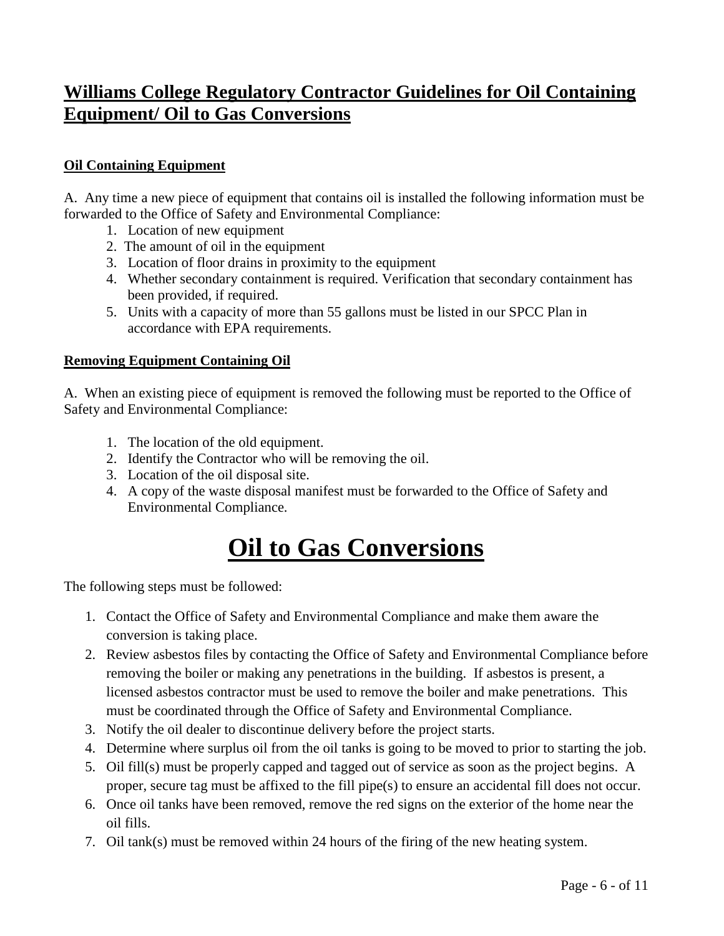# **Williams College Regulatory Contractor Guidelines for Oil Containing Equipment/ Oil to Gas Conversions**

## **Oil Containing Equipment**

A. Any time a new piece of equipment that contains oil is installed the following information must be forwarded to the Office of Safety and Environmental Compliance:

- 1. Location of new equipment
- 2. The amount of oil in the equipment
- 3. Location of floor drains in proximity to the equipment
- 4. Whether secondary containment is required. Verification that secondary containment has been provided, if required.
- 5. Units with a capacity of more than 55 gallons must be listed in our SPCC Plan in accordance with EPA requirements.

## **Removing Equipment Containing Oil**

A. When an existing piece of equipment is removed the following must be reported to the Office of Safety and Environmental Compliance:

- 1. The location of the old equipment.
- 2. Identify the Contractor who will be removing the oil.
- 3. Location of the oil disposal site.
- 4. A copy of the waste disposal manifest must be forwarded to the Office of Safety and Environmental Compliance.

# **Oil to Gas Conversions**

The following steps must be followed:

- 1. Contact the Office of Safety and Environmental Compliance and make them aware the conversion is taking place.
- 2. Review asbestos files by contacting the Office of Safety and Environmental Compliance before removing the boiler or making any penetrations in the building. If asbestos is present, a licensed asbestos contractor must be used to remove the boiler and make penetrations. This must be coordinated through the Office of Safety and Environmental Compliance.
- 3. Notify the oil dealer to discontinue delivery before the project starts.
- 4. Determine where surplus oil from the oil tanks is going to be moved to prior to starting the job.
- 5. Oil fill(s) must be properly capped and tagged out of service as soon as the project begins. A proper, secure tag must be affixed to the fill pipe(s) to ensure an accidental fill does not occur.
- 6. Once oil tanks have been removed, remove the red signs on the exterior of the home near the oil fills.
- 7. Oil tank(s) must be removed within 24 hours of the firing of the new heating system.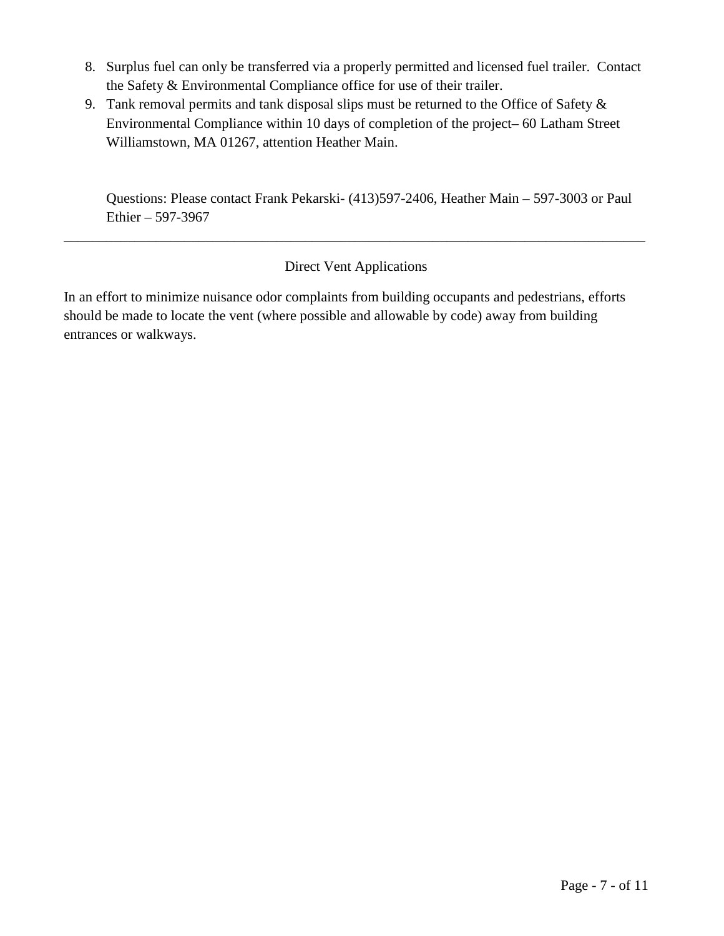- 8. Surplus fuel can only be transferred via a properly permitted and licensed fuel trailer. Contact the Safety & Environmental Compliance office for use of their trailer.
- 9. Tank removal permits and tank disposal slips must be returned to the Office of Safety & Environmental Compliance within 10 days of completion of the project– 60 Latham Street Williamstown, MA 01267, attention Heather Main.

Questions: Please contact Frank Pekarski- (413)597-2406, Heather Main – 597-3003 or Paul Ethier – 597-3967

# Direct Vent Applications

\_\_\_\_\_\_\_\_\_\_\_\_\_\_\_\_\_\_\_\_\_\_\_\_\_\_\_\_\_\_\_\_\_\_\_\_\_\_\_\_\_\_\_\_\_\_\_\_\_\_\_\_\_\_\_\_\_\_\_\_\_\_\_\_\_\_\_\_\_\_\_\_\_\_\_\_\_\_\_\_\_\_

In an effort to minimize nuisance odor complaints from building occupants and pedestrians, efforts should be made to locate the vent (where possible and allowable by code) away from building entrances or walkways.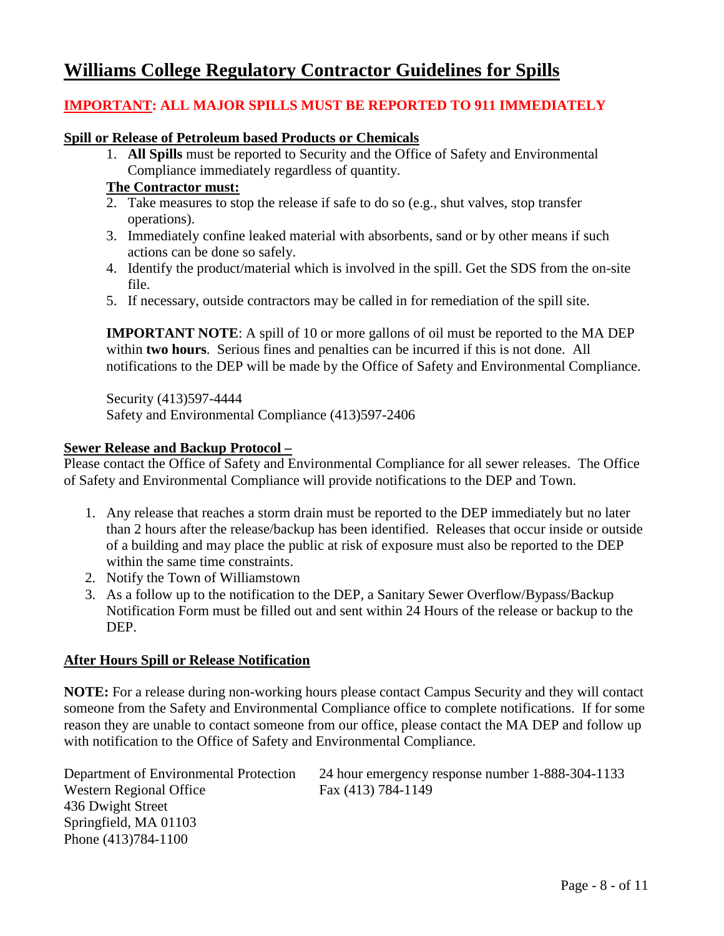# **Williams College Regulatory Contractor Guidelines for Spills**

## **IMPORTANT: ALL MAJOR SPILLS MUST BE REPORTED TO 911 IMMEDIATELY**

### **Spill or Release of Petroleum based Products or Chemicals**

1. **All Spills** must be reported to Security and the Office of Safety and Environmental Compliance immediately regardless of quantity.

### **The Contractor must:**

- 2. Take measures to stop the release if safe to do so (e.g., shut valves, stop transfer operations).
- 3. Immediately confine leaked material with absorbents, sand or by other means if such actions can be done so safely.
- 4. Identify the product/material which is involved in the spill. Get the SDS from the on-site file.
- 5. If necessary, outside contractors may be called in for remediation of the spill site.

**IMPORTANT NOTE:** A spill of 10 or more gallons of oil must be reported to the MA DEP within **two hours**. Serious fines and penalties can be incurred if this is not done. All notifications to the DEP will be made by the Office of Safety and Environmental Compliance.

Security (413)597-4444 Safety and Environmental Compliance (413)597-2406

### **Sewer Release and Backup Protocol –**

Please contact the Office of Safety and Environmental Compliance for all sewer releases. The Office of Safety and Environmental Compliance will provide notifications to the DEP and Town.

- 1. Any release that reaches a storm drain must be reported to the DEP immediately but no later than 2 hours after the release/backup has been identified. Releases that occur inside or outside of a building and may place the public at risk of exposure must also be reported to the DEP within the same time constraints.
- 2. Notify the Town of Williamstown
- 3. As a follow up to the notification to the DEP, a Sanitary Sewer Overflow/Bypass/Backup Notification Form must be filled out and sent within 24 Hours of the release or backup to the DEP.

### **After Hours Spill or Release Notification**

**NOTE:** For a release during non-working hours please contact Campus Security and they will contact someone from the Safety and Environmental Compliance office to complete notifications. If for some reason they are unable to contact someone from our office, please contact the MA DEP and follow up with notification to the Office of Safety and Environmental Compliance.

| Department of Environmental Protection | 24 hour emergency response number 1-888-304-1133 |
|----------------------------------------|--------------------------------------------------|
| Western Regional Office                | Fax (413) 784-1149                               |
| 436 Dwight Street                      |                                                  |
| Springfield, MA 01103                  |                                                  |
| Phone (413)784-1100                    |                                                  |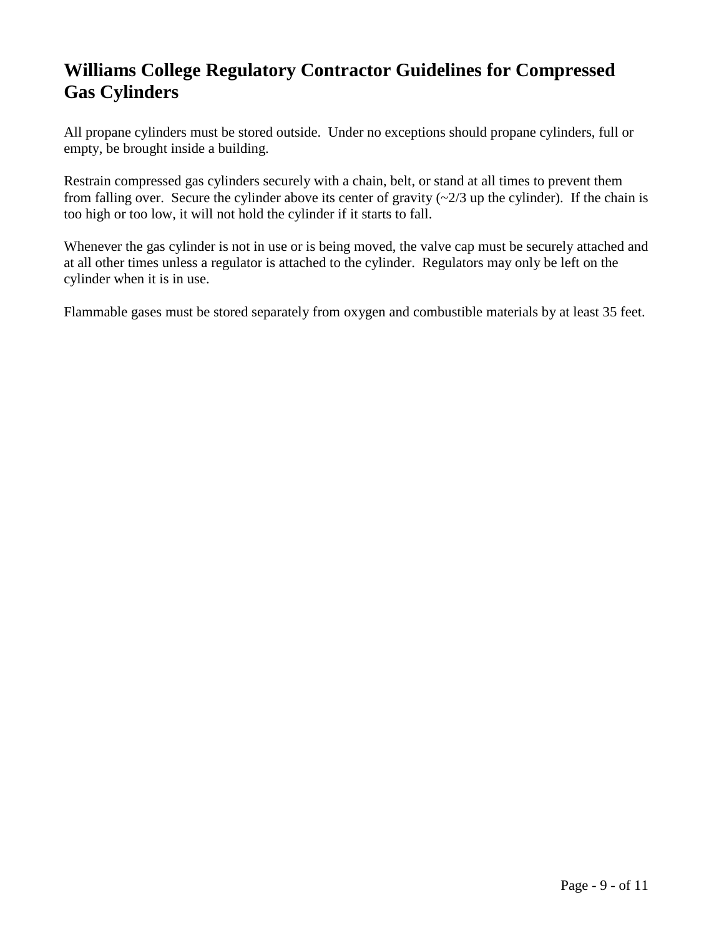# **Williams College Regulatory Contractor Guidelines for Compressed Gas Cylinders**

All propane cylinders must be stored outside. Under no exceptions should propane cylinders, full or empty, be brought inside a building.

Restrain compressed gas cylinders securely with a chain, belt, or stand at all times to prevent them from falling over. Secure the cylinder above its center of gravity  $\left(\frac{2}{3} \text{ up the cylinder}\right)$ . If the chain is too high or too low, it will not hold the cylinder if it starts to fall.

Whenever the gas cylinder is not in use or is being moved, the valve cap must be securely attached and at all other times unless a regulator is attached to the cylinder. Regulators may only be left on the cylinder when it is in use.

Flammable gases must be stored separately from oxygen and combustible materials by at least 35 feet.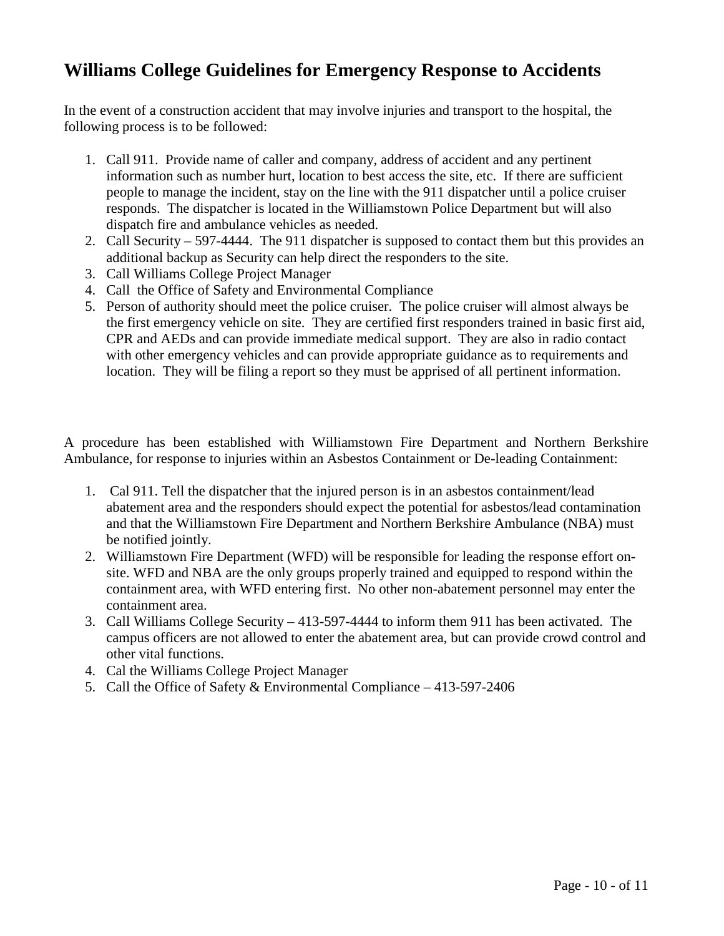# **Williams College Guidelines for Emergency Response to Accidents**

In the event of a construction accident that may involve injuries and transport to the hospital, the following process is to be followed:

- 1. Call 911. Provide name of caller and company, address of accident and any pertinent information such as number hurt, location to best access the site, etc. If there are sufficient people to manage the incident, stay on the line with the 911 dispatcher until a police cruiser responds. The dispatcher is located in the Williamstown Police Department but will also dispatch fire and ambulance vehicles as needed.
- 2. Call Security 597-4444. The 911 dispatcher is supposed to contact them but this provides an additional backup as Security can help direct the responders to the site.
- 3. Call Williams College Project Manager
- 4. Call the Office of Safety and Environmental Compliance
- 5. Person of authority should meet the police cruiser. The police cruiser will almost always be the first emergency vehicle on site. They are certified first responders trained in basic first aid, CPR and AEDs and can provide immediate medical support. They are also in radio contact with other emergency vehicles and can provide appropriate guidance as to requirements and location. They will be filing a report so they must be apprised of all pertinent information.

A procedure has been established with Williamstown Fire Department and Northern Berkshire Ambulance, for response to injuries within an Asbestos Containment or De-leading Containment:

- 1. Cal 911. Tell the dispatcher that the injured person is in an asbestos containment/lead abatement area and the responders should expect the potential for asbestos/lead contamination and that the Williamstown Fire Department and Northern Berkshire Ambulance (NBA) must be notified jointly.
- 2. Williamstown Fire Department (WFD) will be responsible for leading the response effort onsite. WFD and NBA are the only groups properly trained and equipped to respond within the containment area, with WFD entering first. No other non-abatement personnel may enter the containment area.
- 3. Call Williams College Security 413-597-4444 to inform them 911 has been activated. The campus officers are not allowed to enter the abatement area, but can provide crowd control and other vital functions.
- 4. Cal the Williams College Project Manager
- 5. Call the Office of Safety & Environmental Compliance 413-597-2406